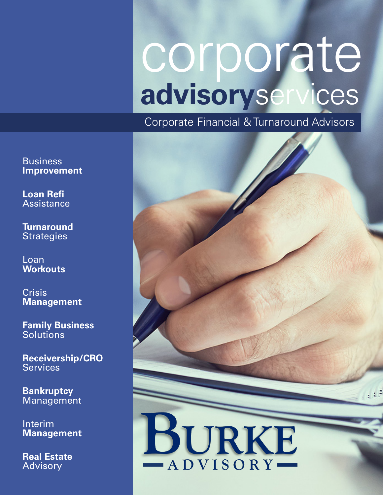# corporate **advisory**services

Corporate Financial & Turnaround Advisors



**Business Improvement** 

**Loan Refi Assistance** 

**Turnaround Strategies** 

Loan<sub>i</sub> **Workouts** 

**Crisis Management** 

**Family Business Solutions** 

**Receivership/CRO Services** 

**Bankruptcy Management** 

Interim **Management** 

**Real Estate**  Advisory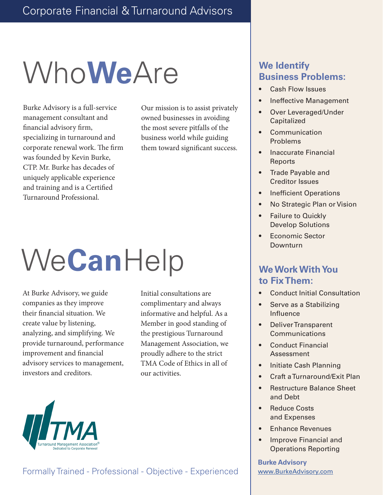## Who**We** Are

Burke Advisory is a full-service management consultant and financial advisory firm, specializing in turnaround and corporate renewal work. The firm was founded by Kevin Burke, CTP. Mr. Burke has decades of uniquely applicable experience and training and is a Certified Turnaround Professional.

Our mission is to assist privately owned businesses in avoiding the most severe pitfalls of the business world while guiding them toward significant success.

## We **Can**Help

At Burke Advisory, we guide companies as they improve their financial situation. We create value by listening, analyzing, and simplifying. We provide turnaround, performance improvement and financial advisory services to management, investors and creditors.

Initial consultations are complimentary and always informative and helpful. As a Member in good standing of the prestigious Turnaround Management Association, we proudly adhere to the strict TMA Code of Ethics in all of our activities.

### **We Identify Business Problems:**

- Cash Flow Issues
- Ineffective Management
- Over Leveraged/Under **Capitalized**
- **Communication** Problems
- Inaccurate Financial Reports
- Trade Payable and Creditor Issues
- **Inefficient Operations**
- No Strategic Plan or Vision
- Failure to Quickly Develop Solutions
- Economic Sector **Downturn**

#### **We Work With You to Fix Them:**

- Conduct Initial Consultation
- Serve as a Stabilizing Influence
- Deliver Transparent Communications
- Conduct Financial Assessment
- Initiate Cash Planning
- Craft a Turnaround/Exit Plan
- Restructure Balance Sheet and Debt
- Reduce Costs and Expenses
- Enhance Revenues
- Improve Financial and Operations Reporting

**Burke Advisory** [www.BurkeAdvisory.com](http://https://www.burkeadvisory.com/)



#### Formally Trained - Professional - Objective - Experienced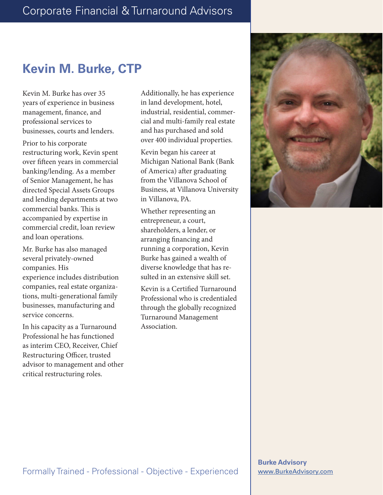## **Kevin M. Burke, CTP**

Kevin M. Burke has over 35 years of experience in business management, finance, and professional services to businesses, courts and lenders.

Prior to his corporate restructuring work, Kevin spent over fifteen years in commercial banking/lending. As a member of Senior Management, he has directed Special Assets Groups and lending departments at two commercial banks. This is accompanied by expertise in commercial credit, loan review and loan operations.

Mr. Burke has also managed several privately-owned companies. His experience includes distribution companies, real estate organizations, multi-generational family businesses, manufacturing and service concerns.

In his capacity as a Turnaround Professional he has functioned as interim CEO, Receiver, Chief Restructuring Officer, trusted advisor to management and other critical restructuring roles.

Additionally, he has experience in land development, hotel, industrial, residential, commercial and multi-family real estate and has purchased and sold over 400 individual properties.

Kevin began his career at Michigan National Bank (Bank of America) after graduating from the Villanova School of Business, at Villanova University in Villanova, PA.

Whether representing an entrepreneur, a court, shareholders, a lender, or arranging financing and running a corporation, Kevin Burke has gained a wealth of diverse knowledge that has resulted in an extensive skill set.

Kevin is a Certified Turnaround Professional who is credentialed through the globally recognized Turnaround Management Association.

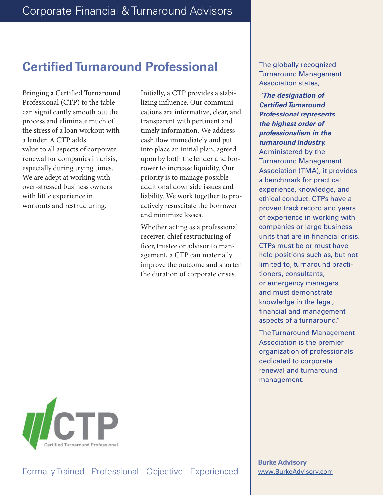## **Certified Turnaround Professional**

Bringing a Certified Turnaround Professional (CTP) to the table can significantly smooth out the process and eliminate much of the stress of a loan workout with a lender. A CTP adds value to all aspects of corporate renewal for companies in crisis, especially during trying times. We are adept at working with over-stressed business owners with little experience in workouts and restructuring.

Initially, a CTP provides a stabilizing influence. Our communications are informative, clear, and transparent with pertinent and timely information. We address cash flow immediately and put into place an initial plan, agreed upon by both the lender and borrower to increase liquidity. Our priority is to manage possible additional downside issues and liability. We work together to proactively resuscitate the borrower and minimize losses.

Whether acting as a professional receiver, chief restructuring officer, trustee or advisor to management, a CTP can materially improve the outcome and shorten the duration of corporate crises.

The globally recognized Turnaround Management Association states,

*"The designation of Certified Turnaround Professional represents the highest order of professionalism in the turnaround industry.* Administered by the Turnaround Management Association (TMA), it provides a benchmark for practical experience, knowledge, and ethical conduct. CTPs have a proven track record and years of experience in working with companies or large business units that are in financial crisis. CTPs must be or must have held positions such as, but not limited to, turnaround practitioners, consultants, or emergency managers and must demonstrate knowledge in the legal, financial and management aspects of a turnaround."

The Turnaround Management Association is the premier organization of professionals dedicated to corporate renewal and turnaround management.



**Burke Advisory** [www.BurkeAdvisory.com](http://https://www.burkeadvisory.com/)

#### Formally Trained - Professional - Objective - Experienced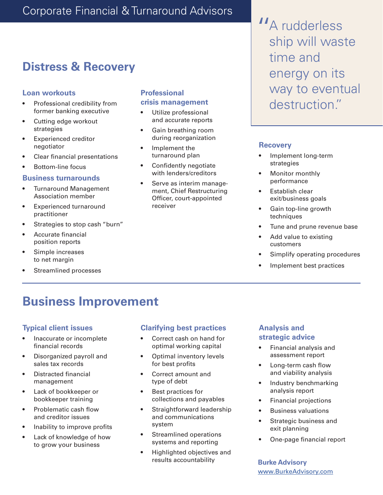### Corporate Financial & Turnaround Advisors

## **Distress & Recovery**

#### **Loan workouts**

- Professional credibility from former banking executive
- Cutting edge workout strategies
- Experienced creditor negotiator
- Clear financial presentations
- Bottom-line focus

#### **Business turnarounds**

- Turnaround Management Association member
- Experienced turnaround practitioner
- Strategies to stop cash "burn"
- Accurate financial position reports
- Simple increases to net margin
- Streamlined processes

#### **Professional crisis management**

- Utilize professional and accurate reports
- Gain breathing room during reorganization
- Implement the turnaround plan
- Confidently negotiate with lenders/creditors
- Serve as interim management, Chief Restructuring Officer, court-appointed receiver

**"** A rudderless<br>ship will wast ship will waste time and energy on its way to eventual destruction."

#### **Recovery**

- Implement long-term strategies
- Monitor monthly performance
- Establish clear exit/business goals
- Gain top-line growth techniques
- Tune and prune revenue base
- Add value to existing customers
- Simplify operating procedures
- Implement best practices

## **Business Improvement**

#### **Typical client issues**

- Inaccurate or incomplete financial records
- Disorganized payroll and sales tax records
- Distracted financial management
- Lack of bookkeeper or bookkeeper training
- Problematic cash flow and creditor issues
- Inability to improve profits
- Lack of knowledge of how to grow your business

#### **Clarifying best practices**

- Correct cash on hand for optimal working capital
- Optimal inventory levels for best profits
- Correct amount and type of debt
- Best practices for collections and payables
- Straightforward leadership and communications system
- Streamlined operations systems and reporting
- Highlighted objectives and results accountability

#### **Analysis and strategic advice**

- Financial analysis and assessment report
- Long-term cash flow and viability analysis
- Industry benchmarking analysis report
- Financial projections
- Business valuations
- Strategic business and exit planning
- One-page financial report

**Burke Advisory** [www.BurkeAdvisory.com](http://https://www.burkeadvisory.com/)